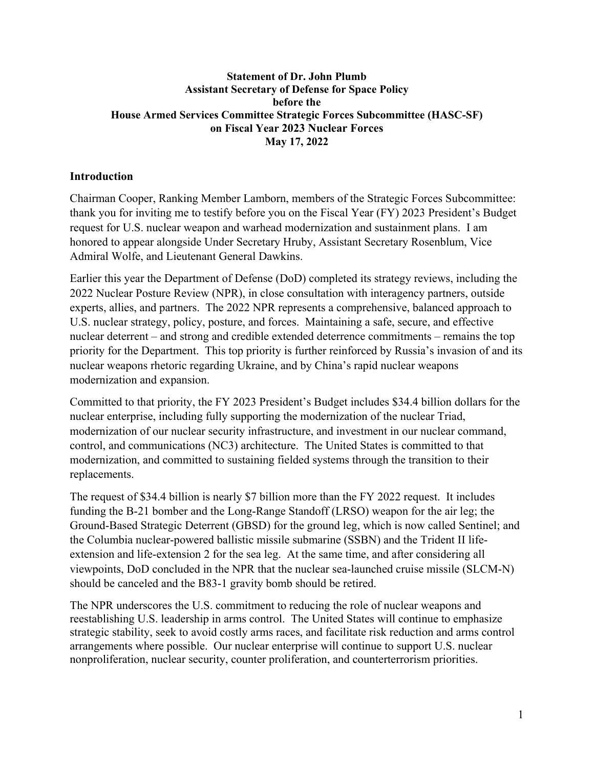### **Statement of Dr. John Plumb Assistant Secretary of Defense for Space Policy before the House Armed Services Committee Strategic Forces Subcommittee (HASC-SF) on Fiscal Year 2023 Nuclear Forces May 17, 2022**

## **Introduction**

Chairman Cooper, Ranking Member Lamborn, members of the Strategic Forces Subcommittee: thank you for inviting me to testify before you on the Fiscal Year (FY) 2023 President's Budget request for U.S. nuclear weapon and warhead modernization and sustainment plans. I am honored to appear alongside Under Secretary Hruby, Assistant Secretary Rosenblum, Vice Admiral Wolfe, and Lieutenant General Dawkins.

Earlier this year the Department of Defense (DoD) completed its strategy reviews, including the 2022 Nuclear Posture Review (NPR), in close consultation with interagency partners, outside experts, allies, and partners. The 2022 NPR represents a comprehensive, balanced approach to U.S. nuclear strategy, policy, posture, and forces. Maintaining a safe, secure, and effective nuclear deterrent – and strong and credible extended deterrence commitments – remains the top priority for the Department. This top priority is further reinforced by Russia's invasion of and its nuclear weapons rhetoric regarding Ukraine, and by China's rapid nuclear weapons modernization and expansion.

Committed to that priority, the FY 2023 President's Budget includes \$34.4 billion dollars for the nuclear enterprise, including fully supporting the modernization of the nuclear Triad, modernization of our nuclear security infrastructure, and investment in our nuclear command, control, and communications (NC3) architecture. The United States is committed to that modernization, and committed to sustaining fielded systems through the transition to their replacements.

The request of \$34.4 billion is nearly \$7 billion more than the FY 2022 request. It includes funding the B-21 bomber and the Long-Range Standoff (LRSO) weapon for the air leg; the Ground-Based Strategic Deterrent (GBSD) for the ground leg, which is now called Sentinel; and the Columbia nuclear-powered ballistic missile submarine (SSBN) and the Trident II lifeextension and life-extension 2 for the sea leg. At the same time, and after considering all viewpoints, DoD concluded in the NPR that the nuclear sea-launched cruise missile (SLCM-N) should be canceled and the B83-1 gravity bomb should be retired.

The NPR underscores the U.S. commitment to reducing the role of nuclear weapons and reestablishing U.S. leadership in arms control. The United States will continue to emphasize strategic stability, seek to avoid costly arms races, and facilitate risk reduction and arms control arrangements where possible. Our nuclear enterprise will continue to support U.S. nuclear nonproliferation, nuclear security, counter proliferation, and counterterrorism priorities.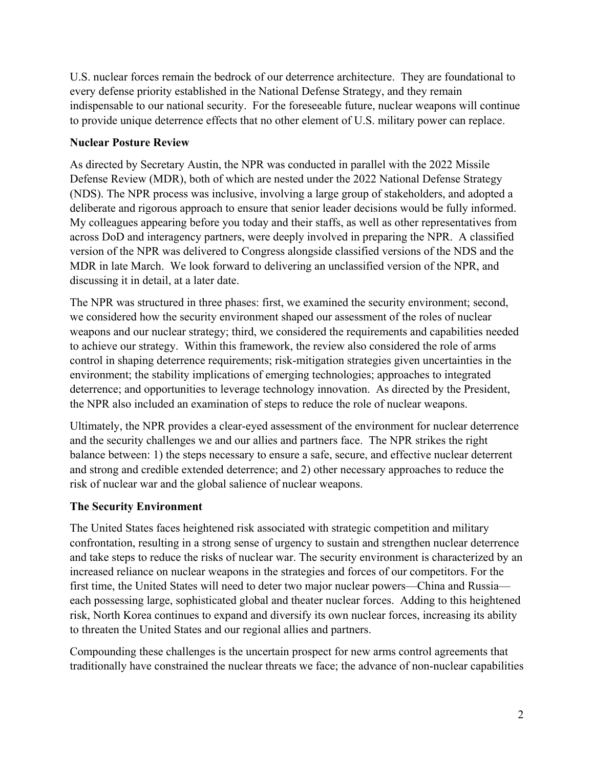U.S. nuclear forces remain the bedrock of our deterrence architecture. They are foundational to every defense priority established in the National Defense Strategy, and they remain indispensable to our national security. For the foreseeable future, nuclear weapons will continue to provide unique deterrence effects that no other element of U.S. military power can replace.

## **Nuclear Posture Review**

As directed by Secretary Austin, the NPR was conducted in parallel with the 2022 Missile Defense Review (MDR), both of which are nested under the 2022 National Defense Strategy (NDS). The NPR process was inclusive, involving a large group of stakeholders, and adopted a deliberate and rigorous approach to ensure that senior leader decisions would be fully informed. My colleagues appearing before you today and their staffs, as well as other representatives from across DoD and interagency partners, were deeply involved in preparing the NPR. A classified version of the NPR was delivered to Congress alongside classified versions of the NDS and the MDR in late March. We look forward to delivering an unclassified version of the NPR, and discussing it in detail, at a later date.

The NPR was structured in three phases: first, we examined the security environment; second, we considered how the security environment shaped our assessment of the roles of nuclear weapons and our nuclear strategy; third, we considered the requirements and capabilities needed to achieve our strategy. Within this framework, the review also considered the role of arms control in shaping deterrence requirements; risk-mitigation strategies given uncertainties in the environment; the stability implications of emerging technologies; approaches to integrated deterrence; and opportunities to leverage technology innovation. As directed by the President, the NPR also included an examination of steps to reduce the role of nuclear weapons.

Ultimately, the NPR provides a clear-eyed assessment of the environment for nuclear deterrence and the security challenges we and our allies and partners face. The NPR strikes the right balance between: 1) the steps necessary to ensure a safe, secure, and effective nuclear deterrent and strong and credible extended deterrence; and 2) other necessary approaches to reduce the risk of nuclear war and the global salience of nuclear weapons.

## **The Security Environment**

The United States faces heightened risk associated with strategic competition and military confrontation, resulting in a strong sense of urgency to sustain and strengthen nuclear deterrence and take steps to reduce the risks of nuclear war. The security environment is characterized by an increased reliance on nuclear weapons in the strategies and forces of our competitors. For the first time, the United States will need to deter two major nuclear powers—China and Russia each possessing large, sophisticated global and theater nuclear forces. Adding to this heightened risk, North Korea continues to expand and diversify its own nuclear forces, increasing its ability to threaten the United States and our regional allies and partners.

Compounding these challenges is the uncertain prospect for new arms control agreements that traditionally have constrained the nuclear threats we face; the advance of non-nuclear capabilities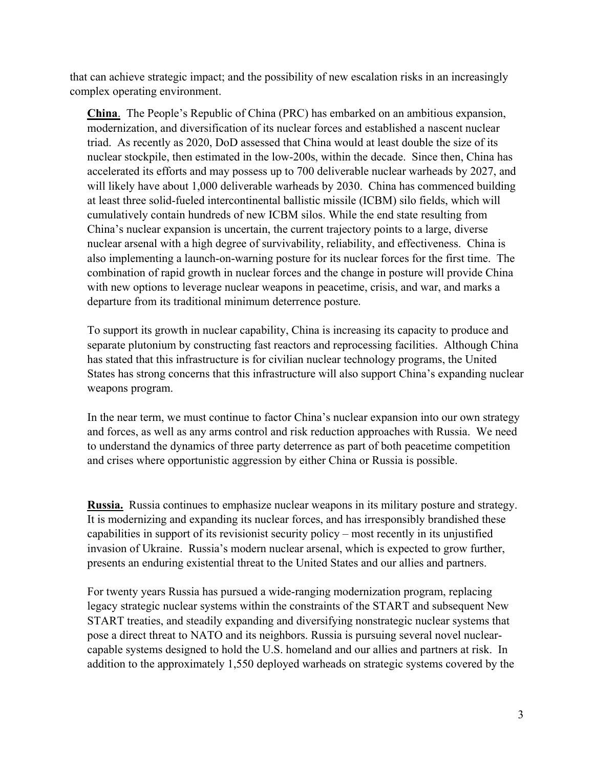that can achieve strategic impact; and the possibility of new escalation risks in an increasingly complex operating environment.

**China**. The People's Republic of China (PRC) has embarked on an ambitious expansion, modernization, and diversification of its nuclear forces and established a nascent nuclear triad. As recently as 2020, DoD assessed that China would at least double the size of its nuclear stockpile, then estimated in the low-200s, within the decade. Since then, China has accelerated its efforts and may possess up to 700 deliverable nuclear warheads by 2027, and will likely have about 1,000 deliverable warheads by 2030. China has commenced building at least three solid-fueled intercontinental ballistic missile (ICBM) silo fields, which will cumulatively contain hundreds of new ICBM silos. While the end state resulting from China's nuclear expansion is uncertain, the current trajectory points to a large, diverse nuclear arsenal with a high degree of survivability, reliability, and effectiveness. China is also implementing a launch-on-warning posture for its nuclear forces for the first time. The combination of rapid growth in nuclear forces and the change in posture will provide China with new options to leverage nuclear weapons in peacetime, crisis, and war, and marks a departure from its traditional minimum deterrence posture.

To support its growth in nuclear capability, China is increasing its capacity to produce and separate plutonium by constructing fast reactors and reprocessing facilities. Although China has stated that this infrastructure is for civilian nuclear technology programs, the United States has strong concerns that this infrastructure will also support China's expanding nuclear weapons program.

In the near term, we must continue to factor China's nuclear expansion into our own strategy and forces, as well as any arms control and risk reduction approaches with Russia. We need to understand the dynamics of three party deterrence as part of both peacetime competition and crises where opportunistic aggression by either China or Russia is possible.

**Russia.** Russia continues to emphasize nuclear weapons in its military posture and strategy. It is modernizing and expanding its nuclear forces, and has irresponsibly brandished these capabilities in support of its revisionist security policy – most recently in its unjustified invasion of Ukraine. Russia's modern nuclear arsenal, which is expected to grow further, presents an enduring existential threat to the United States and our allies and partners.

For twenty years Russia has pursued a wide-ranging modernization program, replacing legacy strategic nuclear systems within the constraints of the START and subsequent New START treaties, and steadily expanding and diversifying nonstrategic nuclear systems that pose a direct threat to NATO and its neighbors. Russia is pursuing several novel nuclearcapable systems designed to hold the U.S. homeland and our allies and partners at risk. In addition to the approximately 1,550 deployed warheads on strategic systems covered by the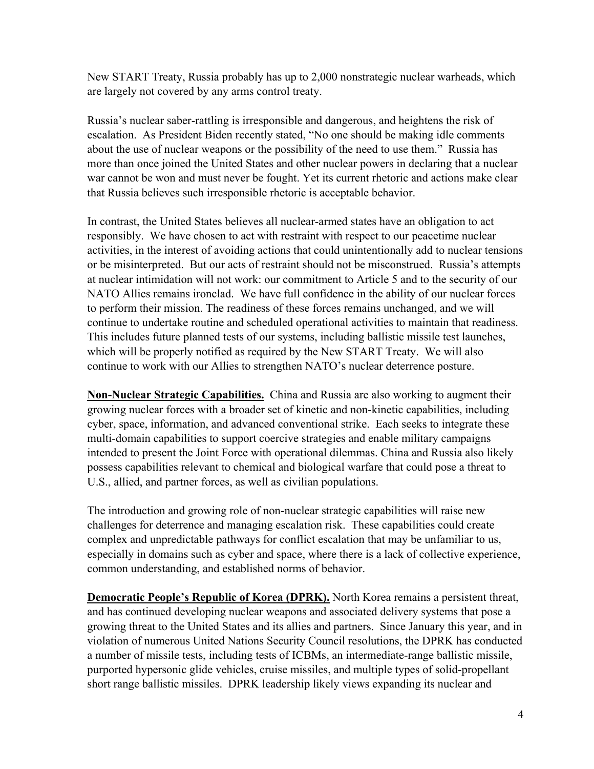New START Treaty, Russia probably has up to 2,000 nonstrategic nuclear warheads, which are largely not covered by any arms control treaty.

Russia's nuclear saber-rattling is irresponsible and dangerous, and heightens the risk of escalation. As President Biden recently stated, "No one should be making idle comments about the use of nuclear weapons or the possibility of the need to use them." Russia has more than once joined the United States and other nuclear powers in declaring that a nuclear war cannot be won and must never be fought. Yet its current rhetoric and actions make clear that Russia believes such irresponsible rhetoric is acceptable behavior.

In contrast, the United States believes all nuclear-armed states have an obligation to act responsibly. We have chosen to act with restraint with respect to our peacetime nuclear activities, in the interest of avoiding actions that could unintentionally add to nuclear tensions or be misinterpreted. But our acts of restraint should not be misconstrued. Russia's attempts at nuclear intimidation will not work: our commitment to Article 5 and to the security of our NATO Allies remains ironclad. We have full confidence in the ability of our nuclear forces to perform their mission. The readiness of these forces remains unchanged, and we will continue to undertake routine and scheduled operational activities to maintain that readiness. This includes future planned tests of our systems, including ballistic missile test launches, which will be properly notified as required by the New START Treaty. We will also continue to work with our Allies to strengthen NATO's nuclear deterrence posture.

**Non-Nuclear Strategic Capabilities.** China and Russia are also working to augment their growing nuclear forces with a broader set of kinetic and non-kinetic capabilities, including cyber, space, information, and advanced conventional strike. Each seeks to integrate these multi-domain capabilities to support coercive strategies and enable military campaigns intended to present the Joint Force with operational dilemmas. China and Russia also likely possess capabilities relevant to chemical and biological warfare that could pose a threat to U.S., allied, and partner forces, as well as civilian populations.

The introduction and growing role of non-nuclear strategic capabilities will raise new challenges for deterrence and managing escalation risk. These capabilities could create complex and unpredictable pathways for conflict escalation that may be unfamiliar to us, especially in domains such as cyber and space, where there is a lack of collective experience, common understanding, and established norms of behavior.

**Democratic People's Republic of Korea (DPRK).** North Korea remains a persistent threat, and has continued developing nuclear weapons and associated delivery systems that pose a growing threat to the United States and its allies and partners. Since January this year, and in violation of numerous United Nations Security Council resolutions, the DPRK has conducted a number of missile tests, including tests of ICBMs, an intermediate-range ballistic missile, purported hypersonic glide vehicles, cruise missiles, and multiple types of solid-propellant short range ballistic missiles. DPRK leadership likely views expanding its nuclear and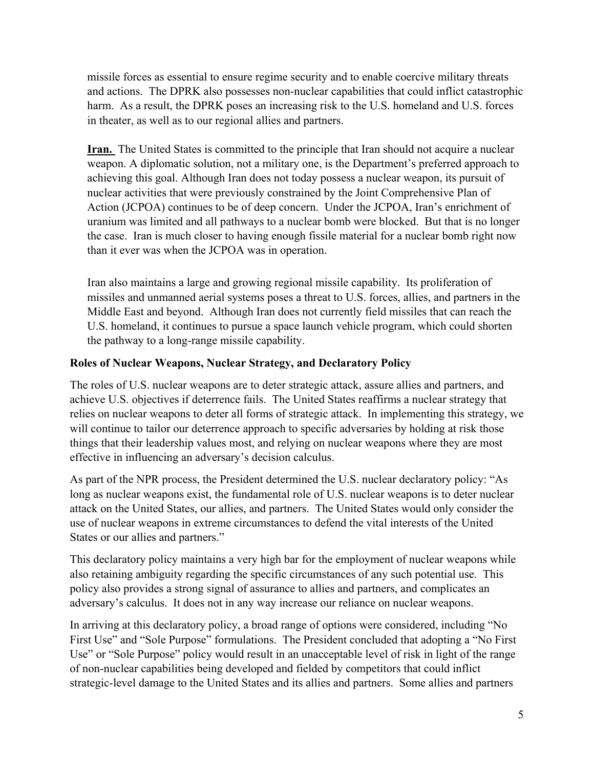missile forces as essential to ensure regime security and to enable coercive military threats and actions. The DPRK also possesses non-nuclear capabilities that could inflict catastrophic harm. As a result, the DPRK poses an increasing risk to the U.S. homeland and U.S. forces in theater, as well as to our regional allies and partners.

**Iran.** The United States is committed to the principle that Iran should not acquire a nuclear weapon. A diplomatic solution, not a military one, is the Department's preferred approach to achieving this goal. Although Iran does not today possess a nuclear weapon, its pursuit of nuclear activities that were previously constrained by the Joint Comprehensive Plan of Action (JCPOA) continues to be of deep concern. Under the JCPOA, Iran's enrichment of uranium was limited and all pathways to a nuclear bomb were blocked. But that is no longer the case. Iran is much closer to having enough fissile material for a nuclear bomb right now than it ever was when the JCPOA was in operation.

Iran also maintains a large and growing regional missile capability. Its proliferation of missiles and unmanned aerial systems poses a threat to U.S. forces, allies, and partners in the Middle East and beyond. Although Iran does not currently field missiles that can reach the U.S. homeland, it continues to pursue a space launch vehicle program, which could shorten the pathway to a long-range missile capability.

# **Roles of Nuclear Weapons, Nuclear Strategy, and Declaratory Policy**

The roles of U.S. nuclear weapons are to deter strategic attack, assure allies and partners, and achieve U.S. objectives if deterrence fails. The United States reaffirms a nuclear strategy that relies on nuclear weapons to deter all forms of strategic attack. In implementing this strategy, we will continue to tailor our deterrence approach to specific adversaries by holding at risk those things that their leadership values most, and relying on nuclear weapons where they are most effective in influencing an adversary's decision calculus.

As part of the NPR process, the President determined the U.S. nuclear declaratory policy: "As long as nuclear weapons exist, the fundamental role of U.S. nuclear weapons is to deter nuclear attack on the United States, our allies, and partners. The United States would only consider the use of nuclear weapons in extreme circumstances to defend the vital interests of the United States or our allies and partners."

This declaratory policy maintains a very high bar for the employment of nuclear weapons while also retaining ambiguity regarding the specific circumstances of any such potential use. This policy also provides a strong signal of assurance to allies and partners, and complicates an adversary's calculus. It does not in any way increase our reliance on nuclear weapons.

In arriving at this declaratory policy, a broad range of options were considered, including "No First Use" and "Sole Purpose" formulations. The President concluded that adopting a "No First Use" or "Sole Purpose" policy would result in an unacceptable level of risk in light of the range of non-nuclear capabilities being developed and fielded by competitors that could inflict strategic-level damage to the United States and its allies and partners. Some allies and partners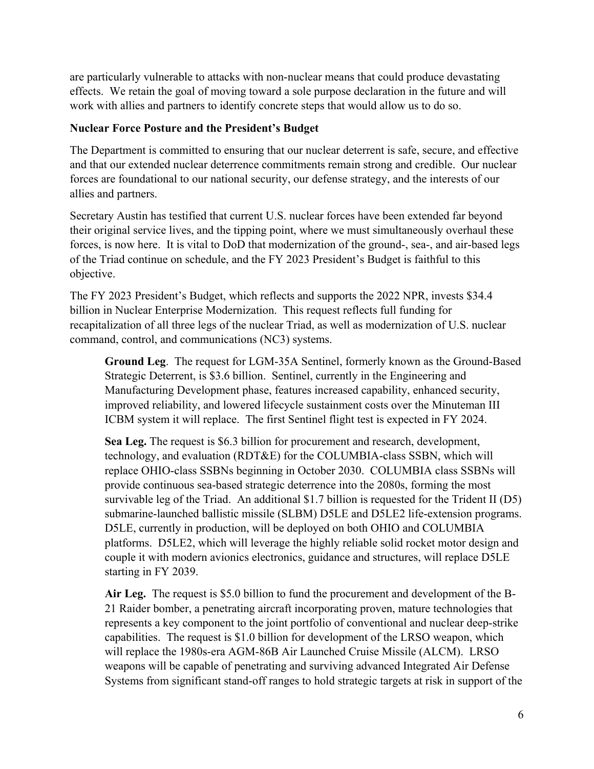are particularly vulnerable to attacks with non-nuclear means that could produce devastating effects. We retain the goal of moving toward a sole purpose declaration in the future and will work with allies and partners to identify concrete steps that would allow us to do so.

### **Nuclear Force Posture and the President's Budget**

The Department is committed to ensuring that our nuclear deterrent is safe, secure, and effective and that our extended nuclear deterrence commitments remain strong and credible. Our nuclear forces are foundational to our national security, our defense strategy, and the interests of our allies and partners.

Secretary Austin has testified that current U.S. nuclear forces have been extended far beyond their original service lives, and the tipping point, where we must simultaneously overhaul these forces, is now here. It is vital to DoD that modernization of the ground-, sea-, and air-based legs of the Triad continue on schedule, and the FY 2023 President's Budget is faithful to this objective.

The FY 2023 President's Budget, which reflects and supports the 2022 NPR, invests \$34.4 billion in Nuclear Enterprise Modernization. This request reflects full funding for recapitalization of all three legs of the nuclear Triad, as well as modernization of U.S. nuclear command, control, and communications (NC3) systems.

**Ground Leg**. The request for LGM-35A Sentinel, formerly known as the Ground-Based Strategic Deterrent, is \$3.6 billion. Sentinel, currently in the Engineering and Manufacturing Development phase, features increased capability, enhanced security, improved reliability, and lowered lifecycle sustainment costs over the Minuteman III ICBM system it will replace. The first Sentinel flight test is expected in FY 2024.

**Sea Leg.** The request is \$6.3 billion for procurement and research, development, technology, and evaluation (RDT&E) for the COLUMBIA-class SSBN, which will replace OHIO-class SSBNs beginning in October 2030. COLUMBIA class SSBNs will provide continuous sea-based strategic deterrence into the 2080s, forming the most survivable leg of the Triad. An additional \$1.7 billion is requested for the Trident II (D5) submarine-launched ballistic missile (SLBM) D5LE and D5LE2 life-extension programs. D5LE, currently in production, will be deployed on both OHIO and COLUMBIA platforms. D5LE2, which will leverage the highly reliable solid rocket motor design and couple it with modern avionics electronics, guidance and structures, will replace D5LE starting in FY 2039.

**Air Leg.** The request is \$5.0 billion to fund the procurement and development of the B-21 Raider bomber, a penetrating aircraft incorporating proven, mature technologies that represents a key component to the joint portfolio of conventional and nuclear deep-strike capabilities. The request is \$1.0 billion for development of the LRSO weapon, which will replace the 1980s-era AGM-86B Air Launched Cruise Missile (ALCM). LRSO weapons will be capable of penetrating and surviving advanced Integrated Air Defense Systems from significant stand-off ranges to hold strategic targets at risk in support of the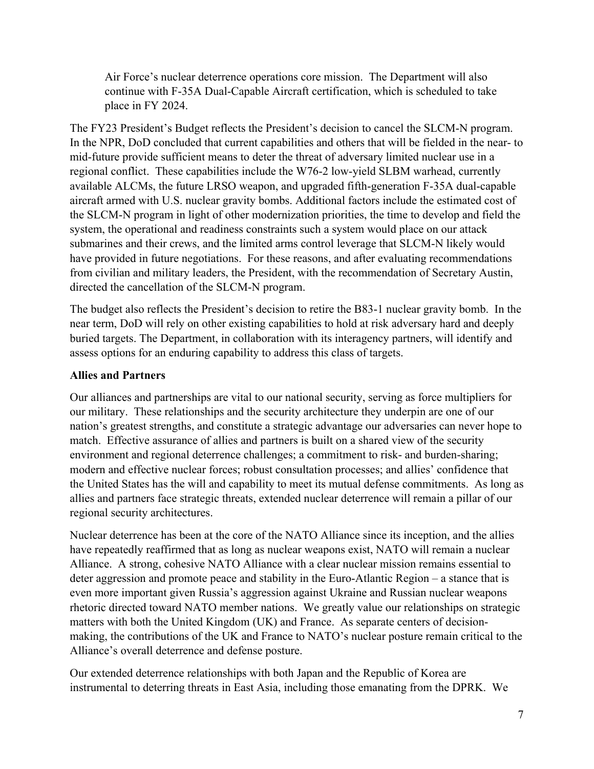Air Force's nuclear deterrence operations core mission. The Department will also continue with F-35A Dual-Capable Aircraft certification, which is scheduled to take place in FY 2024.

The FY23 President's Budget reflects the President's decision to cancel the SLCM-N program. In the NPR, DoD concluded that current capabilities and others that will be fielded in the near- to mid-future provide sufficient means to deter the threat of adversary limited nuclear use in a regional conflict. These capabilities include the W76-2 low-yield SLBM warhead, currently available ALCMs, the future LRSO weapon, and upgraded fifth-generation F-35A dual-capable aircraft armed with U.S. nuclear gravity bombs. Additional factors include the estimated cost of the SLCM-N program in light of other modernization priorities, the time to develop and field the system, the operational and readiness constraints such a system would place on our attack submarines and their crews, and the limited arms control leverage that SLCM-N likely would have provided in future negotiations. For these reasons, and after evaluating recommendations from civilian and military leaders, the President, with the recommendation of Secretary Austin, directed the cancellation of the SLCM-N program.

The budget also reflects the President's decision to retire the B83-1 nuclear gravity bomb. In the near term, DoD will rely on other existing capabilities to hold at risk adversary hard and deeply buried targets. The Department, in collaboration with its interagency partners, will identify and assess options for an enduring capability to address this class of targets.

### **Allies and Partners**

Our alliances and partnerships are vital to our national security, serving as force multipliers for our military. These relationships and the security architecture they underpin are one of our nation's greatest strengths, and constitute a strategic advantage our adversaries can never hope to match. Effective assurance of allies and partners is built on a shared view of the security environment and regional deterrence challenges; a commitment to risk- and burden-sharing; modern and effective nuclear forces; robust consultation processes; and allies' confidence that the United States has the will and capability to meet its mutual defense commitments. As long as allies and partners face strategic threats, extended nuclear deterrence will remain a pillar of our regional security architectures.

Nuclear deterrence has been at the core of the NATO Alliance since its inception, and the allies have repeatedly reaffirmed that as long as nuclear weapons exist, NATO will remain a nuclear Alliance. A strong, cohesive NATO Alliance with a clear nuclear mission remains essential to deter aggression and promote peace and stability in the Euro-Atlantic Region – a stance that is even more important given Russia's aggression against Ukraine and Russian nuclear weapons rhetoric directed toward NATO member nations. We greatly value our relationships on strategic matters with both the United Kingdom (UK) and France. As separate centers of decisionmaking, the contributions of the UK and France to NATO's nuclear posture remain critical to the Alliance's overall deterrence and defense posture.

Our extended deterrence relationships with both Japan and the Republic of Korea are instrumental to deterring threats in East Asia, including those emanating from the DPRK. We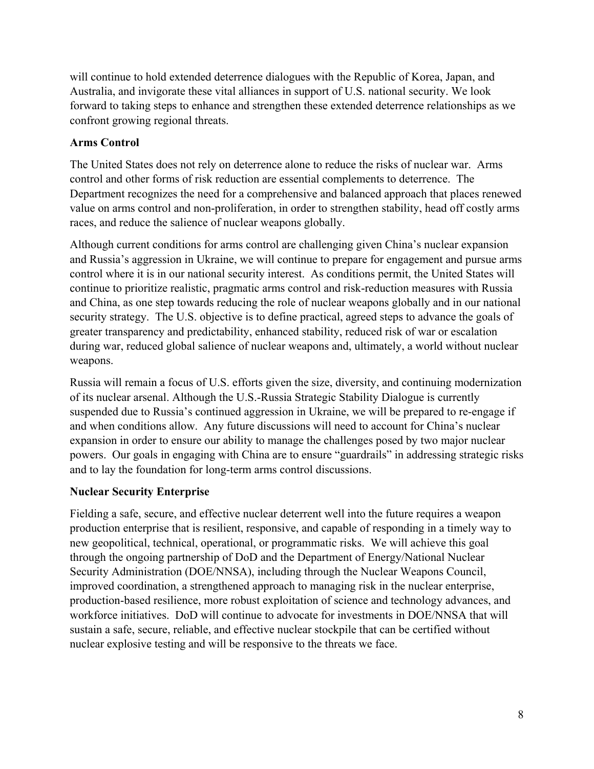will continue to hold extended deterrence dialogues with the Republic of Korea, Japan, and Australia, and invigorate these vital alliances in support of U.S. national security. We look forward to taking steps to enhance and strengthen these extended deterrence relationships as we confront growing regional threats.

# **Arms Control**

The United States does not rely on deterrence alone to reduce the risks of nuclear war. Arms control and other forms of risk reduction are essential complements to deterrence. The Department recognizes the need for a comprehensive and balanced approach that places renewed value on arms control and non-proliferation, in order to strengthen stability, head off costly arms races, and reduce the salience of nuclear weapons globally.

Although current conditions for arms control are challenging given China's nuclear expansion and Russia's aggression in Ukraine, we will continue to prepare for engagement and pursue arms control where it is in our national security interest. As conditions permit, the United States will continue to prioritize realistic, pragmatic arms control and risk-reduction measures with Russia and China, as one step towards reducing the role of nuclear weapons globally and in our national security strategy. The U.S. objective is to define practical, agreed steps to advance the goals of greater transparency and predictability, enhanced stability, reduced risk of war or escalation during war, reduced global salience of nuclear weapons and, ultimately, a world without nuclear weapons.

Russia will remain a focus of U.S. efforts given the size, diversity, and continuing modernization of its nuclear arsenal. Although the U.S.-Russia Strategic Stability Dialogue is currently suspended due to Russia's continued aggression in Ukraine, we will be prepared to re-engage if and when conditions allow. Any future discussions will need to account for China's nuclear expansion in order to ensure our ability to manage the challenges posed by two major nuclear powers. Our goals in engaging with China are to ensure "guardrails" in addressing strategic risks and to lay the foundation for long-term arms control discussions.

## **Nuclear Security Enterprise**

Fielding a safe, secure, and effective nuclear deterrent well into the future requires a weapon production enterprise that is resilient, responsive, and capable of responding in a timely way to new geopolitical, technical, operational, or programmatic risks. We will achieve this goal through the ongoing partnership of DoD and the Department of Energy/National Nuclear Security Administration (DOE/NNSA), including through the Nuclear Weapons Council, improved coordination, a strengthened approach to managing risk in the nuclear enterprise, production-based resilience, more robust exploitation of science and technology advances, and workforce initiatives. DoD will continue to advocate for investments in DOE/NNSA that will sustain a safe, secure, reliable, and effective nuclear stockpile that can be certified without nuclear explosive testing and will be responsive to the threats we face.